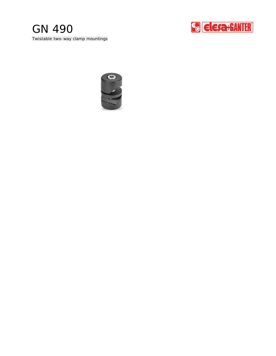# Twistable two-way clamp mountings GN 490



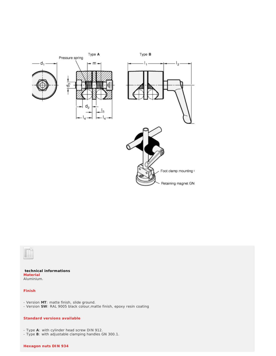



**technical informations** Aluminium. **Material**

### **Finish**

- Version **MT**: matte finish, slide ground.

- Version **SW**: RAL 9005 black colour,matte finish, epoxy resin coating

### **Standard versions available**

- Type **A**: with cylinder head screw DIN 912.

- Type **B**: with adjustable clamping handles GN 300.1.